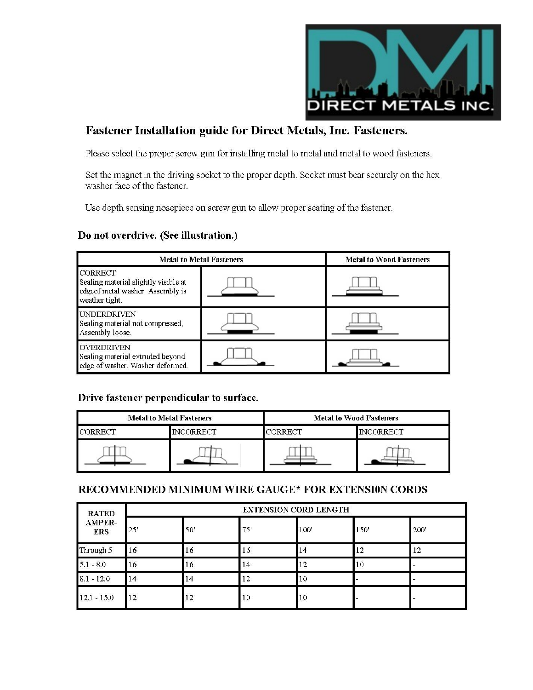

### **Fastener Installation guide for Direct Metals, Inc. Fasteners.**

Please select the proper screw gun for installing metal to metal and metal to wood fasteners.

Set the magnet in the driving socket to the proper depth. Socket must bear securely on the hex washer face of the fastener.

Use depth sensing nosepiece on screw gun to allow proper seating of the fastener.

#### Do not overdrive. (See illustration.)

| <b>Metal to Metal Fasteners</b>                                                                              | <b>Metal to Wood Fasteners</b> |  |  |
|--------------------------------------------------------------------------------------------------------------|--------------------------------|--|--|
| <b>CORRECT</b><br>Sealing material slightly visible at<br>edgeof metal washer. Assembly is<br>weather tight. |                                |  |  |
| <b>UNDERDRIVEN</b><br>Sealing material not compressed,<br>Assembly loose.                                    |                                |  |  |
| <b>OVERDRIVEN</b><br>Sealing material extruded beyond<br>edge of washer. Washer deformed.                    |                                |  |  |

#### Drive fastener perpendicular to surface.

| <b>Metal to Metal Fasteners</b> |                  | <b>Metal to Wood Fasteners</b> |          |  |
|---------------------------------|------------------|--------------------------------|----------|--|
| <b>CORRECT</b>                  | <b>INCORRECT</b> | CORRECT                        | NCORRECT |  |
|                                 |                  |                                |          |  |

#### RECOMMENDED MINIMUM WIRE GAUGE\* FOR EXTENSION CORDS

| <b>RATED</b><br><b>AMPER-</b><br><b>ERS</b> | <b>EXTENSION CORD LENGTH</b> |     |     |      |      |      |
|---------------------------------------------|------------------------------|-----|-----|------|------|------|
|                                             | 25'                          | 50' | 75' | 100' | 150' | 200' |
| Through 5                                   | 16                           | 16  | 16  | 14   | 12   | 12   |
| $5.1 - 8.0$                                 | 16                           | 16  | 14  | 12   | 10   |      |
| $8.1 - 12.0$                                | 14                           | 14  | 12  | 10   |      |      |
| $12.1 - 15.0$                               | 12                           | 12  | 10  | 10   |      |      |